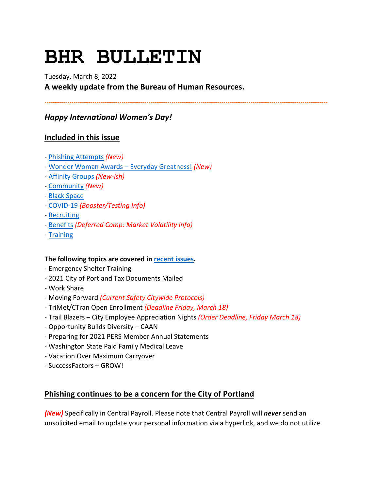# **BHR BULLETIN**

# Tuesday, March 8, 2022 **A weekly update from the Bureau of Human Resources.**

**----------------------------------------------------------------------------------------------------------------------------------------**

# *Happy International Women's Day!*

# **Included in this issue**

- [Phishing Attempts](#page-0-0) *(New)*
- [Wonder Woman Awards –](#page-1-0) Everyday Greatness! *(New)*
- [Affinity Groups](#page-3-0) *(New-ish)*
- [Community](#page-3-1) *(New)*
- [Black Space](#page-3-2)
- [COVID-19](#page-4-0) *(Booster/Testing Info)*
- [Recruiting](#page-9-0)
- [Benefits](#page-7-0) *(Deferred Comp: Market Volatility info)*
- [Training](#page-9-1)

## **The following topics are covered i[n recent issues.](https://www.portlandoregon.gov/bhr/81102)**

- Emergency Shelter Training
- 2021 City of Portland Tax Documents Mailed
- Work Share
- Moving Forward *(Current Safety Citywide Protocols)*
- TriMet/CTran Open Enrollment *(Deadline Friday, March 18)*
- Trail Blazers City Employee Appreciation Nights *(Order Deadline, Friday March 18)*
- Opportunity Builds Diversity CAAN
- Preparing for 2021 PERS Member Annual Statements
- Washington State Paid Family Medical Leave
- Vacation Over Maximum Carryover
- SuccessFactors GROW!

# <span id="page-0-0"></span>**Phishing continues to be a concern for the City of Portland**

*(New)* Specifically in Central Payroll. Please note that Central Payroll will *never* send an unsolicited email to update your personal information via a hyperlink, and we do not utilize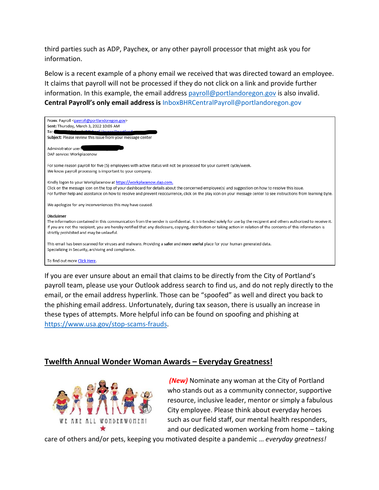third parties such as ADP, Paychex, or any other payroll processor that might ask you for information.

Below is a recent example of a phony email we received that was directed toward an employee. It claims that payroll will not be processed if they do not click on a link and provide further information. In this example, the email addres[s payroll@portlandoregon.gov](mailto:payroll@portlandoregon.gov) is also invalid. **Central Payroll's only email address is** [InboxBHRCentralPayroll@portlandoregon.gov](mailto:InboxBHRCentralPayroll@portlandoregon.gov)



If you are ever unsure about an email that claims to be directly from the City of Portland's payroll team, please use your Outlook address search to find us, and do not reply directly to the email, or the email address hyperlink. Those can be "spoofed" as well and direct you back to the phishing email address. Unfortunately, during tax season, there is usually an increase in these types of attempts. More helpful info can be found on spoofing and phishing at [https://www.usa.gov/stop-scams-frauds.](https://www.usa.gov/stop-scams-frauds)

# <span id="page-1-0"></span>**Twelfth Annual Wonder Woman Awards – Everyday Greatness!**



*(New)* Nominate any woman at the City of Portland who stands out as a community connector, supportive resource, inclusive leader, mentor or simply a fabulous City employee. Please think about everyday heroes such as our field staff, our mental health responders, and our dedicated women working from home – taking

care of others and/or pets, keeping you motivated despite a pandemic … *everyday greatness!*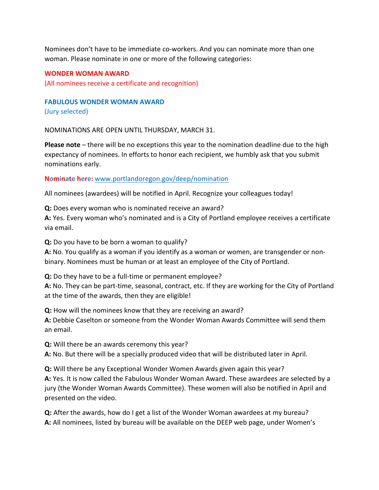Nominees don't have to be immediate co-workers. And you can nominate more than one woman. Please nominate in one or more of the following categories:

#### **WONDER WOMAN AWARD**

(All nominees receive a certificate and recognition)

**FABULOUS WONDER WOMAN AWARD**

(Jury selected)

NOMINATIONS ARE OPEN UNTIL THURSDAY, MARCH 31.

**Please note** – there will be no exceptions this year to the nomination deadline due to the high expectancy of nominees. In efforts to honor each recipient, we humbly ask that you submit nominations early.

**Nominate here:** [www.portlandoregon.gov/deep/nomination](http://www.portlandoregon.gov/deep/nomination)

All nominees (awardees) will be notified in April. Recognize your colleagues today!

**Q:** Does every woman who is nominated receive an award?

**A:** Yes. Every woman who's nominated and is a City of Portland employee receives a certificate via email.

**Q:** Do you have to be born a woman to qualify?

**A:** No. You qualify as a woman if you identify as a woman or women, are transgender or nonbinary. Nominees must be human or at least an employee of the City of Portland.

**Q:** Do they have to be a full-time or permanent employee?

**A:** No. They can be part-time, seasonal, contract, etc. If they are working for the City of Portland at the time of the awards, then they are eligible!

**Q:** How will the nominees know that they are receiving an award?

**A:** Debbie Caselton or someone from the Wonder Woman Awards Committee will send them an email.

**Q:** Will there be an awards ceremony this year?

**A:** No. But there will be a specially produced video that will be distributed later in April.

**Q:** Will there be any Exceptional Wonder Women Awards given again this year? **A:** Yes. It is now called the Fabulous Wonder Woman Award. These awardees are selected by a jury (the Wonder Woman Awards Committee). These women will also be notified in April and presented on the video.

**Q:** After the awards, how do I get a list of the Wonder Woman awardees at my bureau? **A:** All nominees, listed by bureau will be available on the DEEP web page, under Women's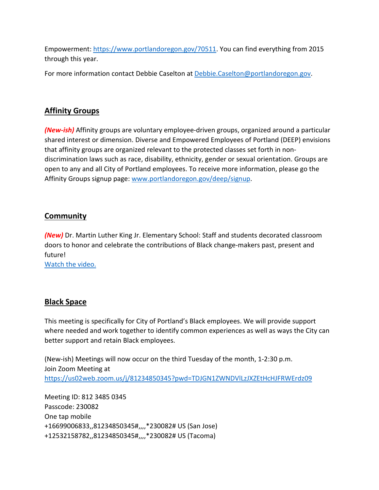Empowerment[: https://www.portlandoregon.gov/70511.](https://www.portlandoregon.gov/70511) You can find everything from 2015 through this year.

For more information contact Debbie Caselton at [Debbie.Caselton@portlandoregon.gov.](mailto:Debbie.Caselton@portlandoregon.gov)

# <span id="page-3-0"></span>**Affinity Groups**

*(New-ish)* Affinity groups are voluntary employee-driven groups, organized around a particular shared interest or dimension. Diverse and Empowered Employees of Portland (DEEP) envisions that affinity groups are organized relevant to the protected classes set forth in nondiscrimination laws such as race, disability, ethnicity, gender or sexual orientation. Groups are open to any and all City of Portland employees. To receive more information, please go the Affinity Groups signup page: [www.portlandoregon.gov/deep/signup.](http://www.portlandoregon.gov/deep/signup)

# <span id="page-3-1"></span>**Community**

*(New)* Dr. Martin Luther King Jr. Elementary School: Staff and students decorated classroom doors to honor and celebrate the contributions of Black change-makers past, present and future!

[Watch the video.](https://www.youtube.com/watch?v=ceAUsSip8pQ)

# <span id="page-3-2"></span>**Black Space**

This meeting is specifically for City of Portland's Black employees. We will provide support where needed and work together to identify common experiences as well as ways the City can better support and retain Black employees.

(New-ish) Meetings will now occur on the third Tuesday of the month, 1-2:30 p.m. Join Zoom Meeting at <https://us02web.zoom.us/j/81234850345?pwd=TDJGN1ZWNDVlLzJXZEtHcHJFRWErdz09>

Meeting ID: 812 3485 0345 Passcode: 230082 One tap mobile +16699006833,,81234850345#,,,,\*230082# US (San Jose) +12532158782,,81234850345#,,,,\*230082# US (Tacoma)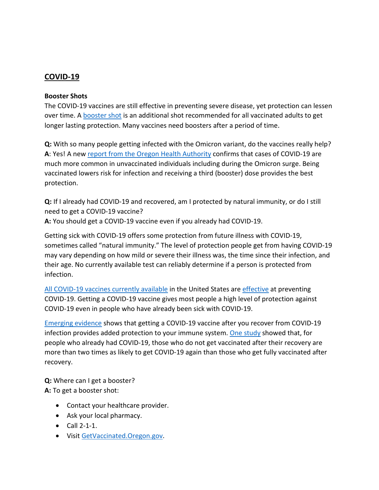## <span id="page-4-0"></span>**COVID-19**

#### **Booster Shots**

The COVID-19 vaccines are still effective in preventing severe disease, yet protection can lessen over time. A **booster shot is an additional shot recommended for all vaccinated adults to get** longer lasting protection. Many vaccines need boosters after a period of time.

**Q:** With so many people getting infected with the Omicron variant, do the vaccines really help? **A**: Yes! A new [report from the Oregon Health Authority](https://covidblog.oregon.gov/booster-shots-highlighted-in-new-breakthrough-case-report/?utm_medium=email&utm_source=govdelivery) confirms that cases of COVID-19 are much more common in unvaccinated individuals including during the Omicron surge. Being vaccinated lowers risk for infection and receiving a third (booster) dose provides the best protection.

**Q:** If I already had COVID-19 and recovered, am I protected by natural immunity, or do I still need to get a COVID-19 vaccine?

**A:** You should get a COVID-19 vaccine even if you already had COVID-19.

Getting sick with COVID-19 offers some protection from future illness with COVID-19, sometimes called "natural immunity." The level of protection people get from having COVID-19 may vary depending on how mild or severe their illness was, the time since their infection, and their age. No currently available test can reliably determine if a person is protected from infection.

[All COVID-19 vaccines currently available](https://www.cdc.gov/coronavirus/2019-ncov/vaccines/different-vaccines.html) in the United States ar[e effective](https://www.cdc.gov/coronavirus/2019-ncov/vaccines/effectiveness/index.html) at preventing COVID-19. Getting a COVID-19 vaccine gives most people a high level of protection against COVID-19 even in people who have already been sick with COVID-19.

[Emerging evidence](https://www.cdc.gov/coronavirus/2019-ncov/science/science-briefs/vaccine-induced-immunity.html#anchor_1635540493225) shows that getting a COVID-19 vaccine after you recover from COVID-19 infection provides added protection to your immune system. [One study](https://www.cdc.gov/mmwr/volumes/70/wr/mm7032e1.htm?s_cid=mm7032e1_e&ACSTrackingID=USCDC_921-DM63289&ACSTrackingLabel=MMWR%20Early%20Release%20-%20Vol.%2070%2C%20August%206%2C%202021&deliveryName=USCDC_921-DM63289) showed that, for people who already had COVID-19, those who do not get vaccinated after their recovery are more than two times as likely to get COVID-19 again than those who get fully vaccinated after recovery.

**Q:** Where can I get a booster? **A:** To get a booster shot:

- Contact your healthcare provider.
- Ask your local pharmacy.
- Call 2-1-1.
- Visi[t GetVaccinated.Oregon.gov.](https://getvaccinated.oregon.gov/#/)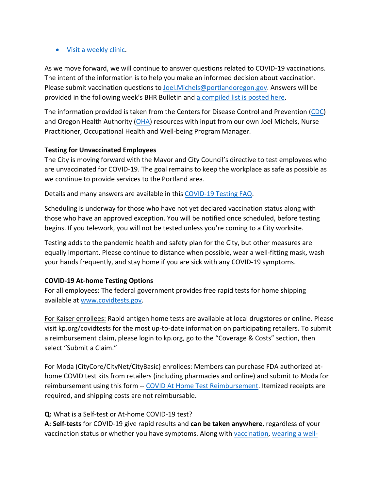#### • [Visit a weekly clinic.](https://www.multco.us/novel-coronavirus-covid-19/upcoming-covid-19-vaccination-clinics)

As we move forward, we will continue to answer questions related to COVID-19 vaccinations. The intent of the information is to help you make an informed decision about vaccination. Please submit vaccination questions to [Joel.Michels@portlandoregon.gov.](mailto:Joel.Michels@portlandoregon.gov) Answers will be provided in the following week's BHR Bulletin an[d a compiled list is posted here.](https://www.portlandoregon.gov/bhr/article/797240)

The information provided is taken from the Centers for Disease Control and Prevention [\(CDC\)](https://www.cdc.gov/coronavirus/2019-ncov/vaccines/index.html) and Oregon Health Authority [\(OHA\)](https://covidvaccine.oregon.gov/) resources with input from our own Joel Michels, Nurse Practitioner, Occupational Health and Well-being Program Manager.

## **Testing for Unvaccinated Employees**

The City is moving forward with the Mayor and City Council's directive to test employees who are unvaccinated for COVID-19. The goal remains to keep the workplace as safe as possible as we continue to provide services to the Portland area.

Details and many answers are available in this [COVID-19 Testing FAQ.](https://www.portland.gov/bhr/covid-testing)

Scheduling is underway for those who have not yet declared vaccination status along with those who have an approved exception. You will be notified once scheduled, before testing begins. If you telework, you will not be tested unless you're coming to a City worksite.

Testing adds to the pandemic health and safety plan for the City, but other measures are equally important. Please continue to distance when possible, wear a well-fitting mask, wash your hands frequently, and stay home if you are sick with any COVID-19 symptoms.

## **COVID-19 At-home Testing Options**

For all employees: The federal government provides free rapid tests for home shipping available at [www.covidtests.gov.](http://www.covidtests.gov/)

For Kaiser enrollees: Rapid antigen home tests are available at local drugstores or online. Please visit kp.org/covidtests for the most up-to-date information on participating retailers. To submit a reimbursement claim, please login to kp.org, go to the "Coverage & Costs" section, then select "Submit a Claim."

For Moda (CityCore/CityNet/CityBasic) enrollees: Members can purchase FDA authorized athome COVID test kits from retailers (including pharmacies and online) and submit to Moda for reimbursement using this form -- [COVID At Home Test Reimbursement.](https://www.modahealth.com/-/media/modahealth/site/shared/forms/ModaHealth-OTC-COVID-19-AtHomeTest-Medical-MemberReimbursementForm.pdf) Itemized receipts are required, and shipping costs are not reimbursable.

#### **Q:** What is a Self-test or At-home COVID-19 test?

**A: Self-tests** for COVID-19 give rapid results and **can be taken anywhere**, regardless of your vaccination status or whether you have symptoms. Along with [vaccination,](https://www.cdc.gov/coronavirus/2019-ncov/vaccines/your-vaccination.html) [wearing a well-](https://www.cdc.gov/coronavirus/2019-ncov/prevent-getting-sick/masks.html)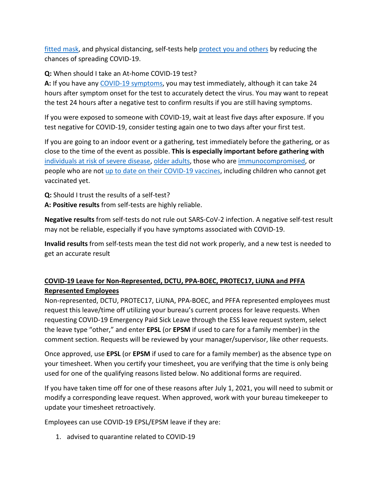[fitted mask,](https://www.cdc.gov/coronavirus/2019-ncov/prevent-getting-sick/masks.html) and physical distancing, self-tests help [protect you and others](https://www.cdc.gov/coronavirus/2019-ncov/prevent-getting-sick/prevention.html) by reducing the chances of spreading COVID-19.

## **Q:** When should I take an At-home COVID-19 test?

**A:** If you have any [COVID-19 symptoms,](https://www.cdc.gov/coronavirus/2019-ncov/symptoms-testing/symptoms.html) you may test immediately, although it can take 24 hours after symptom onset for the test to accurately detect the virus. You may want to repeat the test 24 hours after a negative test to confirm results if you are still having symptoms.

If you were exposed to someone with COVID-19, wait at least five days after exposure. If you test negative for COVID-19, consider testing again one to two days after your first test.

If you are going to an indoor event or a gathering, test immediately before the gathering, or as close to the time of the event as possible. **This is especially important before gathering with** [individuals at risk of severe disease,](https://www.cdc.gov/coronavirus/2019-ncov/need-extra-precautions/people-with-medical-conditions.html) [older adults,](https://www.cdc.gov/aging/covid19/covid19-older-adults.html) those who are [immunocompromised,](https://www.cdc.gov/coronavirus/2019-ncov/need-extra-precautions/people-with-medical-conditions.html#MedicalConditionsAdults) or people who are not [up to date on their COVID-19 vaccines,](https://www.cdc.gov/coronavirus/2019-ncov/vaccines/stay-up-to-date.html) including children who cannot get vaccinated yet.

**Q:** Should I trust the results of a self-test? **A: Positive results** from self-tests are highly reliable.

**Negative results** from self-tests do not rule out SARS-CoV-2 infection. A negative self-test result may not be reliable, especially if you have symptoms associated with COVID-19.

**Invalid results** from self-tests mean the test did not work properly, and a new test is needed to get an accurate result

# **COVID-19 Leave for Non-Represented, DCTU, PPA-BOEC, PROTEC17, LiUNA and PFFA Represented Employees**

Non-represented, DCTU, PROTEC17, LiUNA, PPA-BOEC, and PFFA represented employees must request this leave/time off utilizing your bureau's current process for leave requests. When requesting COVID-19 Emergency Paid Sick Leave through the ESS leave request system, select the leave type "other," and enter **EPSL** (or **EPSM** if used to care for a family member) in the comment section. Requests will be reviewed by your manager/supervisor, like other requests.

Once approved, use **EPSL** (or **EPSM** if used to care for a family member) as the absence type on your timesheet. When you certify your timesheet, you are verifying that the time is only being used for one of the qualifying reasons listed below. No additional forms are required.

If you have taken time off for one of these reasons after July 1, 2021, you will need to submit or modify a corresponding leave request. When approved, work with your bureau timekeeper to update your timesheet retroactively.

Employees can use COVID-19 EPSL/EPSM leave if they are:

1. advised to quarantine related to COVID-19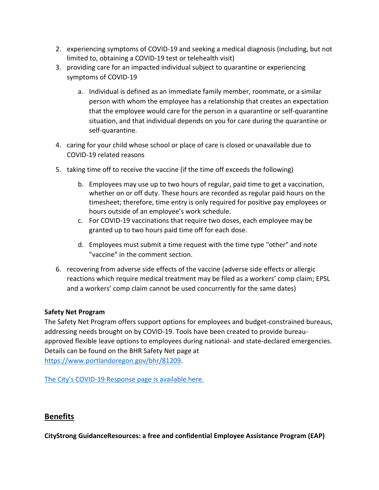- 2. experiencing symptoms of COVID-19 and seeking a medical diagnosis (including, but not limited to, obtaining a COVID-19 test or telehealth visit)
- 3. providing care for an impacted individual subject to quarantine or experiencing symptoms of COVID-19
	- a. Individual is defined as an immediate family member, roommate, or a similar person with whom the employee has a relationship that creates an expectation that the employee would care for the person in a quarantine or self-quarantine situation, and that individual depends on you for care during the quarantine or self-quarantine.
- 4. caring for your child whose school or place of care is closed or unavailable due to COVID-19 related reasons
- 5. taking time off to receive the vaccine (if the time off exceeds the following)
	- b. Employees may use up to two hours of regular, paid time to get a vaccination, whether on or off duty. These hours are recorded as regular paid hours on the timesheet; therefore, time entry is only required for positive pay employees or hours outside of an employee's work schedule.
	- c. For COVID-19 vaccinations that require two doses, each employee may be granted up to two hours paid time off for each dose.
	- d. Employees must submit a time request with the time type "other" and note "vaccine" in the comment section.
- 6. recovering from adverse side effects of the vaccine (adverse side effects or allergic reactions which require medical treatment may be filed as a workers' comp claim; EPSL and a workers' comp claim cannot be used concurrently for the same dates)

## **Safety Net Program**

The Safety Net Program offers support options for employees and budget-constrained bureaus, addressing needs brought on by COVID-19. Tools have been created to provide bureauapproved flexible leave options to employees during national- and state-declared emergencies. Details can be found on the BHR Safety Net page at [https://www.portlandoregon.gov/bhr/81209.](https://www.portlandoregon.gov/bhr/81209)

[The City's COVID-19 Response page is available here.](https://www.portlandoregon.gov/bhr/index.cfm?&c=81055)

# <span id="page-7-0"></span>**Benefits**

**CityStrong GuidanceResources: a free and confidential Employee Assistance Program (EAP)**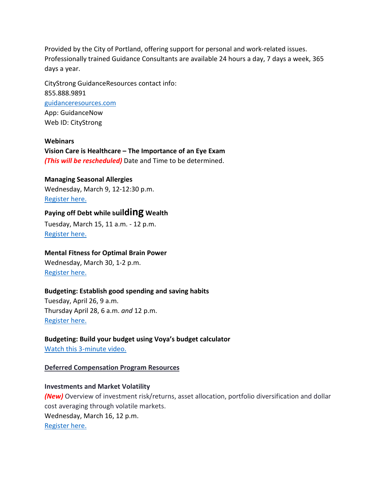Provided by the City of Portland, offering support for personal and work-related issues. Professionally trained Guidance Consultants are available 24 hours a day, 7 days a week, 365 days a year.

CityStrong GuidanceResources contact info: 855.888.9891 [guidanceresources.com](https://www.guidanceresources.com/groWeb/login/login.xhtml) App: GuidanceNow Web ID: CityStrong

**Webinars Vision Care is Healthcare – The Importance of an Eye Exam** *(This will be rescheduled)* Date and Time to be determined.

#### **Managing Seasonal Allergies**

Wednesday, March 9, 12-12:30 p.m. Register here.

# **Paying off Debt while building Wealth**

Tuesday, March 15, 11 a.m. - 12 p.m. [Register here.](https://us06web.zoom.us/webinar/register/WN_yYOTbG6jStGXAizzr43SQQ)

#### **Mental Fitness for Optimal Brain Power**

Wednesday, March 30, 1-2 p.m. [Register here.](https://us06web.zoom.us/webinar/register/WN_BYyBBbVuQWufZ2Mx0Pw_ZA)

#### **Budgeting: Establish good spending and saving habits**

Tuesday, April 26, 9 a.m. Thursday April 28, 6 a.m. *and* 12 p.m. [Register here.](https://voyafa.zoom.us/webinar/register/WN_jalwtC9vQGa3Bf00BMP-Pw)

**Budgeting: Build your budget using Voya's budget calculator** [Watch this 3-minute video.](https://www.voya.com/page/on-demand/budget-calculator)

#### **Deferred Compensation Program Resources**

**Investments and Market Volatility**  *(New)* Overview of investment risk/returns, asset allocation, portfolio diversification and dollar cost averaging through volatile markets. Wednesday, March 16, 12 p.m. [Register here.](https://voyafa.zoom.us/webinar/register/WN_E8-0mcnSRam-T-mo23mizA)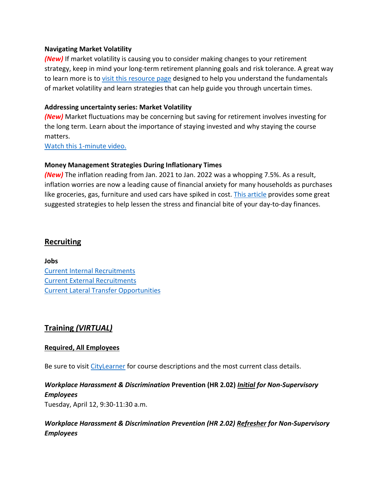#### **Navigating Market Volatility**

*(New)* If market volatility is causing you to consider making changes to your retirement strategy, keep in mind your long-term retirement planning goals and risk tolerance. A great way to learn more is t[o visit this resource page](https://www.voya.com/page/navigating-market-volatility) designed to help you understand the fundamentals of market volatility and learn strategies that can help guide you through uncertain times.

### **Addressing uncertainty series: Market Volatility**

*(New)* Market fluctuations may be concerning but saving for retirement involves investing for the long term. Learn about the importance of staying invested and why staying the course matters.

[Watch this 1-minute video.](https://www.voya.com/page/on-demand/addressing-uncertainty-series-market-volatility)

#### **Money Management Strategies During Inflationary Times**

*(New)* The inflation reading from Jan. 2021 to Jan. 2022 was a whopping 7.5%. As a result, inflation worries are now a leading cause of financial anxiety for many households as purchases like groceries, gas, furniture and used cars have spiked in cost. [This article](https://blog.voya.com/financial-decisions/money-management-strategies-during-inflationary-times-nc) provides some great suggested strategies to help lessen the stress and financial bite of your day-to-day finances.

## <span id="page-9-0"></span>**Recruiting**

**Jobs** [Current Internal Recruitments](https://www.governmentjobs.com/careers/portlandor/promotionaljobs) [Current External Recruitments](https://www.governmentjobs.com/careers/portlandor?) [Current Lateral Transfer Opportunities](https://www.governmentjobs.com/careers/portlandor/transferjobs)

# <span id="page-9-1"></span>**Training** *(VIRTUAL)*

#### **Required, All Employees**

Be sure to visit [CityLearner](https://www.portlandoregon.gov/sf) for course descriptions and the most current class details.

## *Workplace Harassment & Discrimination* **Prevention (HR 2.02)** *Initial for Non-Supervisory Employees*

Tuesday, April 12, 9:30-11:30 a.m.

# *Workplace Harassment & Discrimination Prevention (HR 2.02) Refresher for Non-Supervisory Employees*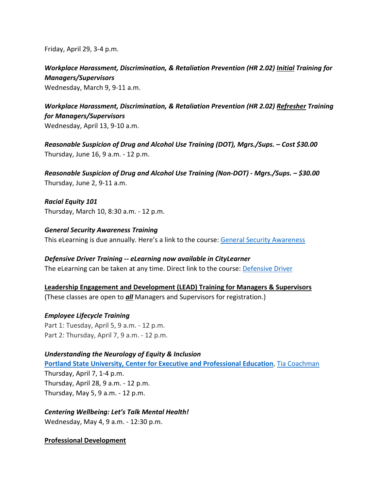Friday, April 29, 3-4 p.m.

*Workplace Harassment, Discrimination, & Retaliation Prevention (HR 2.02) Initial Training for Managers/Supervisors* 

Wednesday, March 9, 9-11 a.m.

*Workplace Harassment, Discrimination, & Retaliation Prevention (HR 2.02) Refresher Training for Managers/Supervisors*  Wednesday, April 13, 9-10 a.m.

*Reasonable Suspicion of Drug and Alcohol Use Training (DOT), Mgrs./Sups. – Cost \$30.00* Thursday, June 16, 9 a.m. - 12 p.m.

*Reasonable Suspicion of Drug and Alcohol Use Training (Non-DOT) - Mgrs./Sups. – \$30.00* Thursday, June 2, 9-11 a.m.

*Racial Equity 101* Thursday, March 10, 8:30 a.m. - 12 p.m.

*General Security Awareness Training* This eLearning is due annually. Here's a link to the course: [General Security Awareness](https://performancemanager4.successfactors.com/sf/learning?destUrl=https%3a%2f%2fcityofport%2eplateau%2ecom%2flearning%2fuser%2fdeeplink%5fredirect%2ejsp%3flinkId%3dITEM%5fDETAILS%26componentID%3dLMS61011035%26componentTypeID%3dELRN%26revisionDate%3d1638978720000%26fromSF%3dY&company=cityofport) 

*Defensive Driver Training -- eLearning now available in CityLearner* The eLearning can be taken at any time. Direct link to the course: **Defensive Driver** 

**Leadership Engagement and Development (LEAD) Training for Managers & Supervisors** (These classes are open to *all* Managers and Supervisors for registration.)

*Employee Lifecycle Training*  Part 1: Tuesday, April 5, 9 a.m. - 12 p.m. Part 2: Thursday, April 7, 9 a.m. - 12 p.m.

*Understanding the Neurology of Equity & Inclusion* **[Portland State University, Center for Executive and Professional Education,](https://www.pdx.edu/professional-education/)** [Tia Coachman](https://www.pdx.edu/professional-education/profile/tia-coachman) Thursday, April 7, 1-4 p.m. Thursday, April 28, 9 a.m. - 12 p.m. Thursday, May 5, 9 a.m. - 12 p.m.

*Centering Wellbeing: Let's Talk Mental Health!*

Wednesday, May 4, 9 a.m. - 12:30 p.m.

**Professional Development**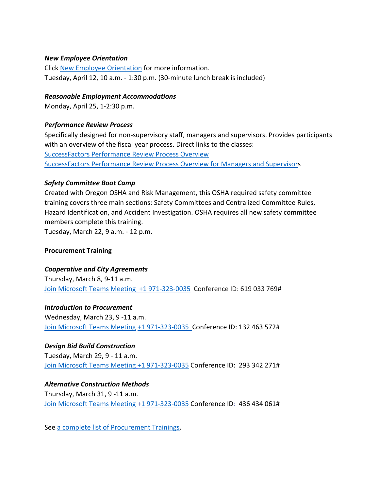#### *New Employee Orientation*

Click [New Employee Orientation](https://www.portlandoregon.gov/bhr/77721) for more information. Tuesday, April 12, 10 a.m. - 1:30 p.m. (30-minute lunch break is included)

#### *Reasonable Employment Accommodations*

Monday, April 25, 1-2:30 p.m.

#### *Performance Review Process*

Specifically designed for non-supervisory staff, managers and supervisors. Provides participants with an overview of the fiscal year process. Direct links to the classes: [SuccessFactors Performance Review Process Overview](https://cityofport.plateau.com/learning/user/common/viewItemDetails.do?OWASP_CSRFTOKEN=DU90-LX7U-MJFA-R3RR-74UK-2I97-WO9L-P1RW&componentID=29037&componentTypeID=ELRN&fromSF=Y&revisionDate=1621295700000&menuGroup=Learning&menuItem=Cur&fromDeepLink=true&hideItemDetailsBackLink=true)  [SuccessFactors Performance Review Process Overview for Managers and Supervisors](https://sts.portlandoregon.gov/adfs/ls/?SAMLRequest=hZJPb9swDMW%2FisC7bUVL61SIU2QLigXYH7fxethlUGU6FSBLnig367ev7aRbd0mv0iPf449cXv9pLXvCQMa7AmYpB4ZO%2B9q4fQE%2FqptkAderJanWik6u%2B%2Fjo7vB3jxTZUOhIHn8K6IOTXpEh6VSLJKOWu%2FXXL1KkXHbBR6%2B9BbYZCo1TcTJ7jLEjmWUUKe18iFa52gfce5fu%2FVOm6oYySxmwGx80Tt4FNMoSAttuCvg1V3n90OirZJZ%2FwGTeIE%2BuLgRPxEWuZwKV5vnlICXqcesoKhcLEFyIhItELKpZLvlc8stULPhPYOUp5UfjjtOfG%2BnhKCL5uarKpPy%2Bq4Ddv1IcBHBiJif38BbW%2BcaKCMPIB1avfA6HQ0q91kjUKB19oFT7NtMmPvtmBLfM3nr93da3ofl2U3pr9DNbW%2BsPnwKqiAXE0OOEtVXxfJzxxdRJM0llN05IEV0EtivH%2Fre9sqYxGP6t8924kK1Oif%2B%2FqNUL&RelayState=%2Fsf%2Flearning%3FdestUrl%3Dhttps%253a%252f%252fcityofport%252eplateau%252ecom%252flearning%252fuser%252fdeeplink%255fredirect%252ejsp%253flinkId%253dITEM%255fDETAILS%2526componentID%253d29040%2526componentTypeID%253dELRN%2526revisionDate%253d1621298220000%2526fromSF%253dY&SigAlg=http%3A%2F%2Fwww.w3.org%2F2000%2F09%2Fxmldsig%23rsa-sha1&Signature=Nh05m6BdIM%2FxvyYo0XGgvYRymZoYM8duNho3YqhMrhB7dt0AJszl8HP9tMyr1Rm970uBY8qN1OK2VQ1DitXtL9X5kz06hi1lh1qU%2BNQBVJv%2F2mbWdoqb58FMYKiqv97cu9yMld0iUdw6Mkp%2FB1rVy%2F6nxhm7IUmo9suGPepTh6k%3D)

#### *Safety Committee Boot Camp*

Created with Oregon OSHA and Risk Management, this OSHA required safety committee training covers three main sections: Safety Committees and Centralized Committee Rules, Hazard Identification, and Accident Investigation. OSHA requires all new safety committee members complete this training.

Tuesday, March 22, 9 a.m. - 12 p.m.

#### **Procurement Training**

#### *Cooperative and City Agreements*

Thursday, March 8, 9-11 a.m. [Join Microsoft Teams Meeting](https://teams.microsoft.com/l/meetup-join/19%3ameeting_YTUwYjg0ODEtMTZiMS00ZmRlLThjODctZDE5NDdkNzg1ZTdh%40thread.v2/0?context=%7b%22Tid%22%3a%22636d7808-73c9-41a7-97aa-8c4733642141%22%2c%22Oid%22%3a%2286b2ae6e-2fe6-44ca-9974-4b60b2e2cd99%22%7d) [+1 971-323-0035](tel:+19713230035,,619033769) Conference ID: 619 033 769#

#### *Introduction to Procurement*

Wednesday, March 23, 9 -11 a.m. [Join Microsoft Teams Meeting](https://teams.microsoft.com/l/meetup-join/19%3ameeting_OWI3OGJlZDAtYTlhYS00ZWQ0LTkwNWYtOTM5YmZlYzI1MmIx%40thread.v2/0?context=%7b%22Tid%22%3a%22636d7808-73c9-41a7-97aa-8c4733642141%22%2c%22Oid%22%3a%2286b2ae6e-2fe6-44ca-9974-4b60b2e2cd99%22%7d) [+1 971-323-0035 C](tel:+19713230035,,132463572)onference ID: 132 463 572#

#### *Design Bid Build Construction*

Tuesday, March 29, 9 - 11 a.m. [Join Microsoft Teams Meeting](https://teams.microsoft.com/l/meetup-join/19%3ameeting_NjIxOTQ5ZjAtMGMzYi00ODQ1LWIwMjQtNjU4Yjg4YzFkOTY5%40thread.v2/0?context=%7b%22Tid%22%3a%22636d7808-73c9-41a7-97aa-8c4733642141%22%2c%22Oid%22%3a%2286b2ae6e-2fe6-44ca-9974-4b60b2e2cd99%22%7d) [+1 971-323-0035](tel:+19713230035,,293342271) Conference ID: 293 342 271#

## *Alternative Construction Methods*

Thursday, March 31, 9 -11 a.m. [Join Microsoft Teams Meeting](https://teams.microsoft.com/l/meetup-join/19%3ameeting_ZjhkNmE5Y2EtODgyZS00NGQ4LTkxZGEtMDY1ZTE4YzdlYmZh%40thread.v2/0?context=%7b%22Tid%22%3a%22636d7808-73c9-41a7-97aa-8c4733642141%22%2c%22Oid%22%3a%2286b2ae6e-2fe6-44ca-9974-4b60b2e2cd99%22%7d) [+1 971-323-0035](tel:+19713230035,,436434061) Conference ID: 436 434 061#

See [a complete list of Procurement Trainings.](https://www.portlandoregon.gov/brfs/article/780678)